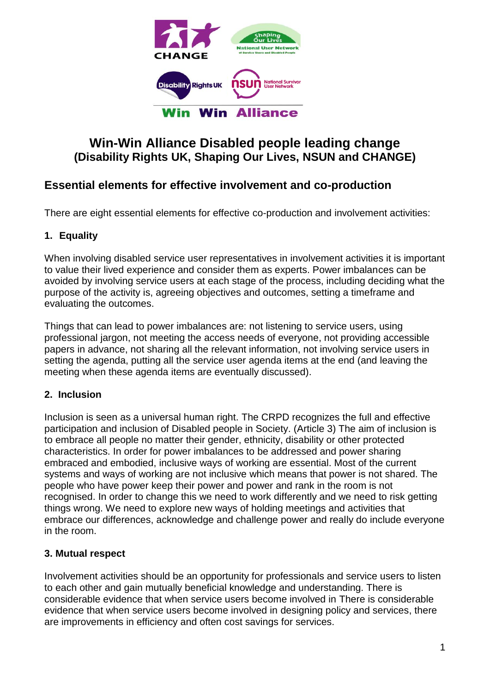

# **Win-Win Alliance Disabled people leading change (Disability Rights UK, Shaping Our Lives, NSUN and CHANGE)**

# **Essential elements for effective involvement and co-production**

There are eight essential elements for effective co-production and involvement activities:

## **1. Equality**

When involving disabled service user representatives in involvement activities it is important to value their lived experience and consider them as experts. Power imbalances can be avoided by involving service users at each stage of the process, including deciding what the purpose of the activity is, agreeing objectives and outcomes, setting a timeframe and evaluating the outcomes.

Things that can lead to power imbalances are: not listening to service users, using professional jargon, not meeting the access needs of everyone, not providing accessible papers in advance, not sharing all the relevant information, not involving service users in setting the agenda, putting all the service user agenda items at the end (and leaving the meeting when these agenda items are eventually discussed).

## **2. Inclusion**

Inclusion is seen as a universal human right. The CRPD recognizes the full and effective participation and inclusion of Disabled people in Society. (Article 3) The aim of inclusion is to embrace all people no matter their gender, ethnicity, disability or other protected characteristics. In order for power imbalances to be addressed and power sharing embraced and embodied, inclusive ways of working are essential. Most of the current systems and ways of working are not inclusive which means that power is not shared. The people who have power keep their power and power and rank in the room is not recognised. In order to change this we need to work differently and we need to risk getting things wrong. We need to explore new ways of holding meetings and activities that embrace our differences, acknowledge and challenge power and really do include everyone in the room.

## **3. Mutual respect**

Involvement activities should be an opportunity for professionals and service users to listen to each other and gain mutually beneficial knowledge and understanding. There is considerable evidence that when service users become involved in There is considerable evidence that when service users become involved in designing policy and services, there are improvements in efficiency and often cost savings for services.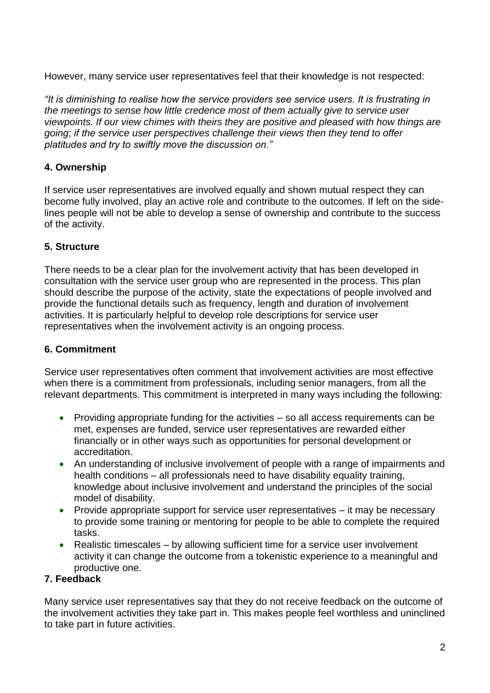However, many service user representatives feel that their knowledge is not respected:

*"It is diminishing to realise how the service providers see service users. It is frustrating in the meetings to sense how little credence most of them actually give to service user viewpoints. If our view chimes with theirs they are positive and pleased with how things are going; if the service user perspectives challenge their views then they tend to offer platitudes and try to swiftly move the discussion on."* 

#### **4. Ownership**

If service user representatives are involved equally and shown mutual respect they can become fully involved, play an active role and contribute to the outcomes. If left on the sidelines people will not be able to develop a sense of ownership and contribute to the success of the activity.

#### **5. Structure**

There needs to be a clear plan for the involvement activity that has been developed in consultation with the service user group who are represented in the process. This plan should describe the purpose of the activity, state the expectations of people involved and provide the functional details such as frequency, length and duration of involvement activities. It is particularly helpful to develop role descriptions for service user representatives when the involvement activity is an ongoing process.

#### **6. Commitment**

Service user representatives often comment that involvement activities are most effective when there is a commitment from professionals, including senior managers, from all the relevant departments. This commitment is interpreted in many ways including the following:

- Providing appropriate funding for the activities so all access requirements can be met, expenses are funded, service user representatives are rewarded either financially or in other ways such as opportunities for personal development or accreditation.
- An understanding of inclusive involvement of people with a range of impairments and health conditions – all professionals need to have disability equality training, knowledge about inclusive involvement and understand the principles of the social model of disability.
- Provide appropriate support for service user representatives it may be necessary to provide some training or mentoring for people to be able to complete the required tasks.
- Realistic timescales by allowing sufficient time for a service user involvement activity it can change the outcome from a tokenistic experience to a meaningful and productive one.

#### **7. Feedback**

Many service user representatives say that they do not receive feedback on the outcome of the involvement activities they take part in. This makes people feel worthless and uninclined to take part in future activities.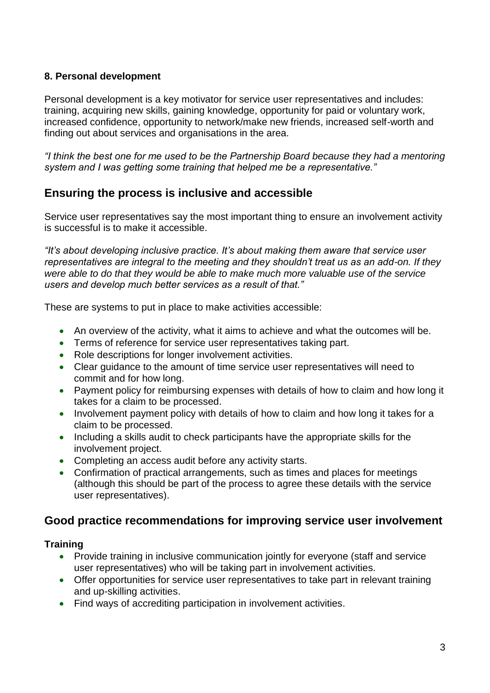#### **8. Personal development**

Personal development is a key motivator for service user representatives and includes: training, acquiring new skills, gaining knowledge, opportunity for paid or voluntary work, increased confidence, opportunity to network/make new friends, increased self-worth and finding out about services and organisations in the area.

*"I think the best one for me used to be the Partnership Board because they had a mentoring system and I was getting some training that helped me be a representative."*

## **Ensuring the process is inclusive and accessible**

Service user representatives say the most important thing to ensure an involvement activity is successful is to make it accessible.

*"It's about developing inclusive practice. It's about making them aware that service user representatives are integral to the meeting and they shouldn't treat us as an add-on. If they were able to do that they would be able to make much more valuable use of the service users and develop much better services as a result of that."*

These are systems to put in place to make activities accessible:

- An overview of the activity, what it aims to achieve and what the outcomes will be.
- Terms of reference for service user representatives taking part.
- Role descriptions for longer involvement activities.
- Clear guidance to the amount of time service user representatives will need to commit and for how long.
- Payment policy for reimbursing expenses with details of how to claim and how long it takes for a claim to be processed.
- Involvement payment policy with details of how to claim and how long it takes for a claim to be processed.
- Including a skills audit to check participants have the appropriate skills for the involvement project.
- Completing an access audit before any activity starts.
- Confirmation of practical arrangements, such as times and places for meetings (although this should be part of the process to agree these details with the service user representatives).

## **Good practice recommendations for improving service user involvement**

#### **Training**

- Provide training in inclusive communication jointly for everyone (staff and service user representatives) who will be taking part in involvement activities.
- Offer opportunities for service user representatives to take part in relevant training and up-skilling activities.
- Find ways of accrediting participation in involvement activities.